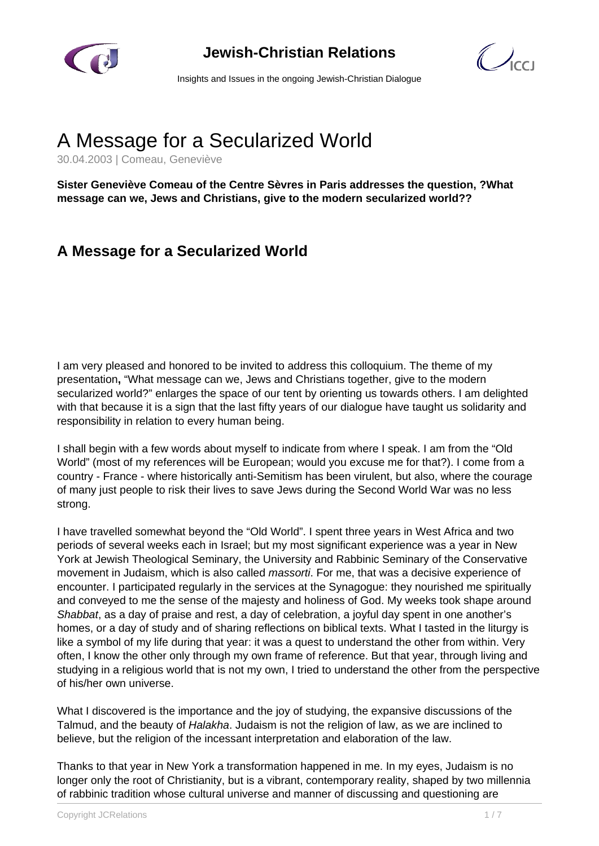

### **Jewish-Christian Relations**

 $\mathcal{C}$ 

Insights and Issues in the ongoing Jewish-Christian Dialogue

# A Message for a Secularized World

30.04.2003 | Comeau, Geneviève

**Sister Geneviève Comeau of the Centre Sèvres in Paris addresses the question, ?What message can we, Jews and Christians, give to the modern secularized world??**

## **A Message for a Secularized World**

I am very pleased and honored to be invited to address this colloquium. The theme of my presentation**,** "What message can we, Jews and Christians together, give to the modern secularized world?" enlarges the space of our tent by orienting us towards others. I am delighted with that because it is a sign that the last fifty years of our dialogue have taught us solidarity and responsibility in relation to every human being.

I shall begin with a few words about myself to indicate from where I speak. I am from the "Old World" (most of my references will be European; would you excuse me for that?). I come from a country - France - where historically anti-Semitism has been virulent, but also, where the courage of many just people to risk their lives to save Jews during the Second World War was no less strong.

I have travelled somewhat beyond the "Old World". I spent three years in West Africa and two periods of several weeks each in Israel; but my most significant experience was a year in New York at Jewish Theological Seminary, the University and Rabbinic Seminary of the Conservative movement in Judaism, which is also called massorti. For me, that was a decisive experience of encounter. I participated regularly in the services at the Synagogue: they nourished me spiritually and conveyed to me the sense of the majesty and holiness of God. My weeks took shape around Shabbat, as a day of praise and rest, a day of celebration, a joyful day spent in one another's homes, or a day of study and of sharing reflections on biblical texts. What I tasted in the liturgy is like a symbol of my life during that year: it was a quest to understand the other from within. Very often, I know the other only through my own frame of reference. But that year, through living and studying in a religious world that is not my own, I tried to understand the other from the perspective of his/her own universe.

What I discovered is the importance and the joy of studying, the expansive discussions of the Talmud, and the beauty of Halakha. Judaism is not the religion of law, as we are inclined to believe, but the religion of the incessant interpretation and elaboration of the law.

Thanks to that year in New York a transformation happened in me. In my eyes, Judaism is no longer only the root of Christianity, but is a vibrant, contemporary reality, shaped by two millennia of rabbinic tradition whose cultural universe and manner of discussing and questioning are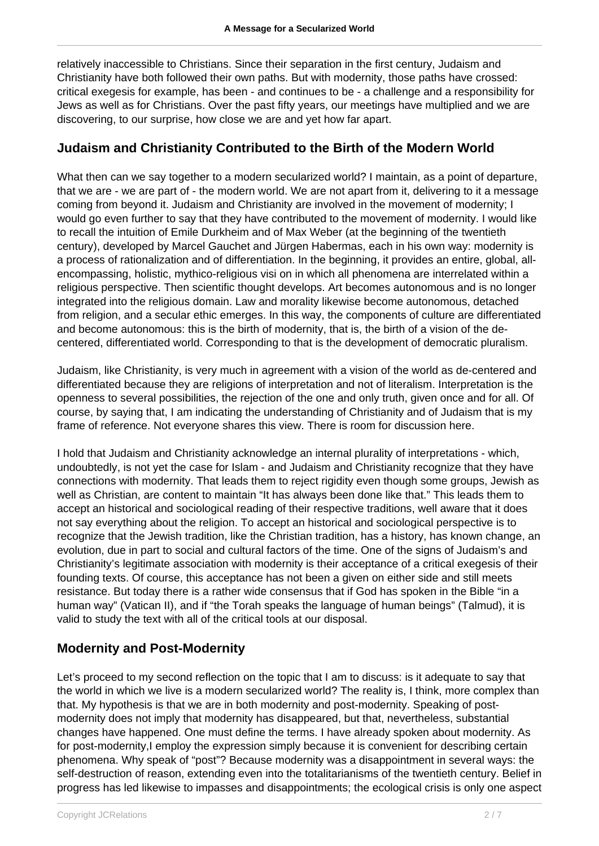relatively inaccessible to Christians. Since their separation in the first century, Judaism and Christianity have both followed their own paths. But with modernity, those paths have crossed: critical exegesis for example, has been - and continues to be - a challenge and a responsibility for Jews as well as for Christians. Over the past fifty years, our meetings have multiplied and we are discovering, to our surprise, how close we are and yet how far apart.

#### **Judaism and Christianity Contributed to the Birth of the Modern World**

What then can we say together to a modern secularized world? I maintain, as a point of departure, that we are - we are part of - the modern world. We are not apart from it, delivering to it a message coming from beyond it. Judaism and Christianity are involved in the movement of modernity; I would go even further to say that they have contributed to the movement of modernity. I would like to recall the intuition of Emile Durkheim and of Max Weber (at the beginning of the twentieth century), developed by Marcel Gauchet and Jürgen Habermas, each in his own way: modernity is a process of rationalization and of differentiation. In the beginning, it provides an entire, global, allencompassing, holistic, mythico-religious visi on in which all phenomena are interrelated within a religious perspective. Then scientific thought develops. Art becomes autonomous and is no longer integrated into the religious domain. Law and morality likewise become autonomous, detached from religion, and a secular ethic emerges. In this way, the components of culture are differentiated and become autonomous: this is the birth of modernity, that is, the birth of a vision of the decentered, differentiated world. Corresponding to that is the development of democratic pluralism.

Judaism, like Christianity, is very much in agreement with a vision of the world as de-centered and differentiated because they are religions of interpretation and not of literalism. Interpretation is the openness to several possibilities, the rejection of the one and only truth, given once and for all. Of course, by saying that, I am indicating the understanding of Christianity and of Judaism that is my frame of reference. Not everyone shares this view. There is room for discussion here.

I hold that Judaism and Christianity acknowledge an internal plurality of interpretations - which, undoubtedly, is not yet the case for Islam - and Judaism and Christianity recognize that they have connections with modernity. That leads them to reject rigidity even though some groups, Jewish as well as Christian, are content to maintain "It has always been done like that." This leads them to accept an historical and sociological reading of their respective traditions, well aware that it does not say everything about the religion. To accept an historical and sociological perspective is to recognize that the Jewish tradition, like the Christian tradition, has a history, has known change, an evolution, due in part to social and cultural factors of the time. One of the signs of Judaism's and Christianity's legitimate association with modernity is their acceptance of a critical exegesis of their founding texts. Of course, this acceptance has not been a given on either side and still meets resistance. But today there is a rather wide consensus that if God has spoken in the Bible "in a human way" (Vatican II), and if "the Torah speaks the language of human beings" (Talmud), it is valid to study the text with all of the critical tools at our disposal.

#### **Modernity and Post-Modernity**

Let's proceed to my second reflection on the topic that I am to discuss: is it adequate to say that the world in which we live is a modern secularized world? The reality is, I think, more complex than that. My hypothesis is that we are in both modernity and post-modernity. Speaking of postmodernity does not imply that modernity has disappeared, but that, nevertheless, substantial changes have happened. One must define the terms. I have already spoken about modernity. As for post-modernity,I employ the expression simply because it is convenient for describing certain phenomena. Why speak of "post"? Because modernity was a disappointment in several ways: the self-destruction of reason, extending even into the totalitarianisms of the twentieth century. Belief in progress has led likewise to impasses and disappointments; the ecological crisis is only one aspect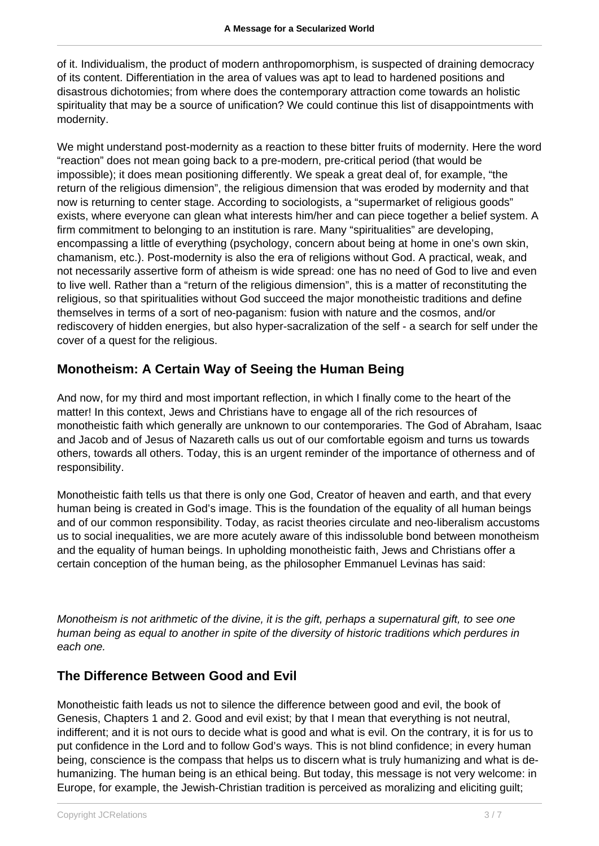of it. Individualism, the product of modern anthropomorphism, is suspected of draining democracy of its content. Differentiation in the area of values was apt to lead to hardened positions and disastrous dichotomies; from where does the contemporary attraction come towards an holistic spirituality that may be a source of unification? We could continue this list of disappointments with modernity.

We might understand post-modernity as a reaction to these bitter fruits of modernity. Here the word "reaction" does not mean going back to a pre-modern, pre-critical period (that would be impossible); it does mean positioning differently. We speak a great deal of, for example, "the return of the religious dimension", the religious dimension that was eroded by modernity and that now is returning to center stage. According to sociologists, a "supermarket of religious goods" exists, where everyone can glean what interests him/her and can piece together a belief system. A firm commitment to belonging to an institution is rare. Many "spiritualities" are developing, encompassing a little of everything (psychology, concern about being at home in one's own skin, chamanism, etc.). Post-modernity is also the era of religions without God. A practical, weak, and not necessarily assertive form of atheism is wide spread: one has no need of God to live and even to live well. Rather than a "return of the religious dimension", this is a matter of reconstituting the religious, so that spiritualities without God succeed the major monotheistic traditions and define themselves in terms of a sort of neo-paganism: fusion with nature and the cosmos, and/or rediscovery of hidden energies, but also hyper-sacralization of the self - a search for self under the cover of a quest for the religious.

#### **Monotheism: A Certain Way of Seeing the Human Being**

And now, for my third and most important reflection, in which I finally come to the heart of the matter! In this context, Jews and Christians have to engage all of the rich resources of monotheistic faith which generally are unknown to our contemporaries. The God of Abraham, Isaac and Jacob and of Jesus of Nazareth calls us out of our comfortable egoism and turns us towards others, towards all others. Today, this is an urgent reminder of the importance of otherness and of responsibility.

Monotheistic faith tells us that there is only one God, Creator of heaven and earth, and that every human being is created in God's image. This is the foundation of the equality of all human beings and of our common responsibility. Today, as racist theories circulate and neo-liberalism accustoms us to social inequalities, we are more acutely aware of this indissoluble bond between monotheism and the equality of human beings. In upholding monotheistic faith, Jews and Christians offer a certain conception of the human being, as the philosopher Emmanuel Levinas has said:

Monotheism is not arithmetic of the divine, it is the gift, perhaps a supernatural gift, to see one human being as equal to another in spite of the diversity of historic traditions which perdures in each one.

#### **The Difference Between Good and Evil**

Monotheistic faith leads us not to silence the difference between good and evil, the book of Genesis, Chapters 1 and 2. Good and evil exist; by that I mean that everything is not neutral, indifferent; and it is not ours to decide what is good and what is evil. On the contrary, it is for us to put confidence in the Lord and to follow God's ways. This is not blind confidence; in every human being, conscience is the compass that helps us to discern what is truly humanizing and what is dehumanizing. The human being is an ethical being. But today, this message is not very welcome: in Europe, for example, the Jewish-Christian tradition is perceived as moralizing and eliciting guilt;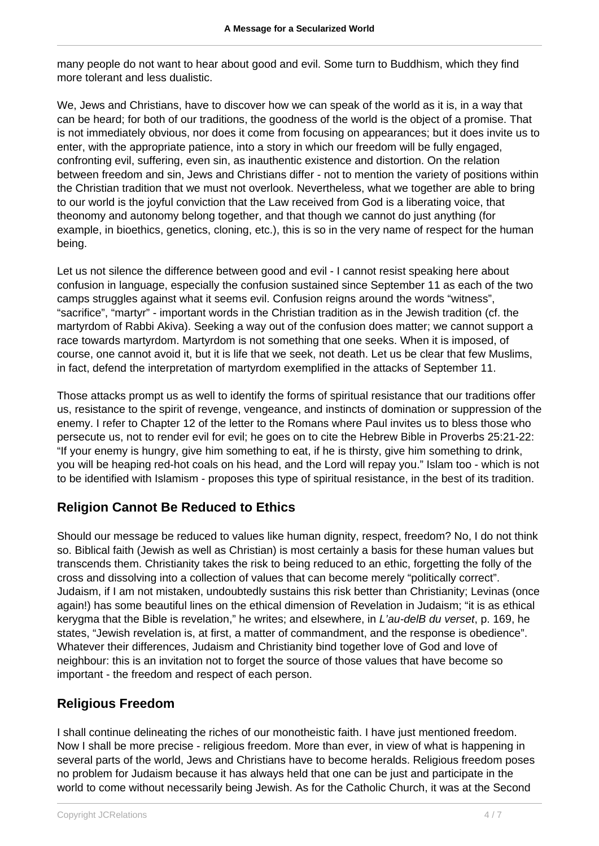many people do not want to hear about good and evil. Some turn to Buddhism, which they find more tolerant and less dualistic.

We, Jews and Christians, have to discover how we can speak of the world as it is, in a way that can be heard; for both of our traditions, the goodness of the world is the object of a promise. That is not immediately obvious, nor does it come from focusing on appearances; but it does invite us to enter, with the appropriate patience, into a story in which our freedom will be fully engaged, confronting evil, suffering, even sin, as inauthentic existence and distortion. On the relation between freedom and sin, Jews and Christians differ - not to mention the variety of positions within the Christian tradition that we must not overlook. Nevertheless, what we together are able to bring to our world is the joyful conviction that the Law received from God is a liberating voice, that theonomy and autonomy belong together, and that though we cannot do just anything (for example, in bioethics, genetics, cloning, etc.), this is so in the very name of respect for the human being.

Let us not silence the difference between good and evil - I cannot resist speaking here about confusion in language, especially the confusion sustained since September 11 as each of the two camps struggles against what it seems evil. Confusion reigns around the words "witness", "sacrifice", "martyr" - important words in the Christian tradition as in the Jewish tradition (cf. the martyrdom of Rabbi Akiva). Seeking a way out of the confusion does matter; we cannot support a race towards martyrdom. Martyrdom is not something that one seeks. When it is imposed, of course, one cannot avoid it, but it is life that we seek, not death. Let us be clear that few Muslims, in fact, defend the interpretation of martyrdom exemplified in the attacks of September 11.

Those attacks prompt us as well to identify the forms of spiritual resistance that our traditions offer us, resistance to the spirit of revenge, vengeance, and instincts of domination or suppression of the enemy. I refer to Chapter 12 of the letter to the Romans where Paul invites us to bless those who persecute us, not to render evil for evil; he goes on to cite the Hebrew Bible in Proverbs 25:21-22: "If your enemy is hungry, give him something to eat, if he is thirsty, give him something to drink, you will be heaping red-hot coals on his head, and the Lord will repay you." Islam too - which is not to be identified with Islamism - proposes this type of spiritual resistance, in the best of its tradition.

#### **Religion Cannot Be Reduced to Ethics**

Should our message be reduced to values like human dignity, respect, freedom? No, I do not think so. Biblical faith (Jewish as well as Christian) is most certainly a basis for these human values but transcends them. Christianity takes the risk to being reduced to an ethic, forgetting the folly of the cross and dissolving into a collection of values that can become merely "politically correct". Judaism, if I am not mistaken, undoubtedly sustains this risk better than Christianity; Levinas (once again!) has some beautiful lines on the ethical dimension of Revelation in Judaism; "it is as ethical kerygma that the Bible is revelation," he writes; and elsewhere, in L'au-delB du verset, p. 169, he states, "Jewish revelation is, at first, a matter of commandment, and the response is obedience". Whatever their differences, Judaism and Christianity bind together love of God and love of neighbour: this is an invitation not to forget the source of those values that have become so important - the freedom and respect of each person.

#### **Religious Freedom**

I shall continue delineating the riches of our monotheistic faith. I have just mentioned freedom. Now I shall be more precise - religious freedom. More than ever, in view of what is happening in several parts of the world, Jews and Christians have to become heralds. Religious freedom poses no problem for Judaism because it has always held that one can be just and participate in the world to come without necessarily being Jewish. As for the Catholic Church, it was at the Second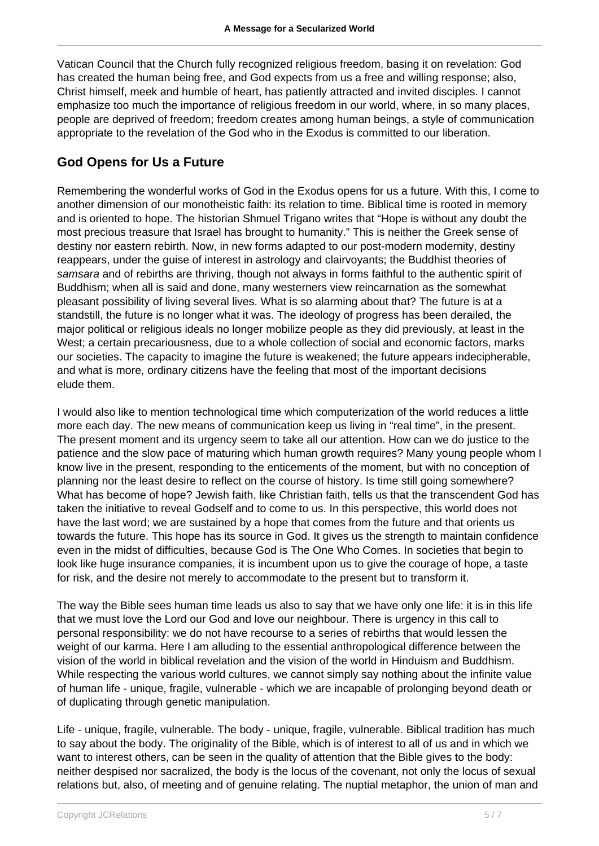Vatican Council that the Church fully recognized religious freedom, basing it on revelation: God has created the human being free, and God expects from us a free and willing response; also, Christ himself, meek and humble of heart, has patiently attracted and invited disciples. I cannot emphasize too much the importance of religious freedom in our world, where, in so many places, people are deprived of freedom; freedom creates among human beings, a style of communication appropriate to the revelation of the God who in the Exodus is committed to our liberation.

#### **God Opens for Us a Future**

Remembering the wonderful works of God in the Exodus opens for us a future. With this, I come to another dimension of our monotheistic faith: its relation to time. Biblical time is rooted in memory and is oriented to hope. The historian Shmuel Trigano writes that "Hope is without any doubt the most precious treasure that Israel has brought to humanity." This is neither the Greek sense of destiny nor eastern rebirth. Now, in new forms adapted to our post-modern modernity, destiny reappears, under the guise of interest in astrology and clairvoyants; the Buddhist theories of samsara and of rebirths are thriving, though not always in forms faithful to the authentic spirit of Buddhism; when all is said and done, many westerners view reincarnation as the somewhat pleasant possibility of living several lives. What is so alarming about that? The future is at a standstill, the future is no longer what it was. The ideology of progress has been derailed, the major political or religious ideals no longer mobilize people as they did previously, at least in the West; a certain precariousness, due to a whole collection of social and economic factors, marks our societies. The capacity to imagine the future is weakened; the future appears indecipherable, and what is more, ordinary citizens have the feeling that most of the important decisions elude them.

I would also like to mention technological time which computerization of the world reduces a little more each day. The new means of communication keep us living in "real time", in the present. The present moment and its urgency seem to take all our attention. How can we do justice to the patience and the slow pace of maturing which human growth requires? Many young people whom I know live in the present, responding to the enticements of the moment, but with no conception of planning nor the least desire to reflect on the course of history. Is time still going somewhere? What has become of hope? Jewish faith, like Christian faith, tells us that the transcendent God has taken the initiative to reveal Godself and to come to us. In this perspective, this world does not have the last word; we are sustained by a hope that comes from the future and that orients us towards the future. This hope has its source in God. It gives us the strength to maintain confidence even in the midst of difficulties, because God is The One Who Comes. In societies that begin to look like huge insurance companies, it is incumbent upon us to give the courage of hope, a taste for risk, and the desire not merely to accommodate to the present but to transform it.

The way the Bible sees human time leads us also to say that we have only one life: it is in this life that we must love the Lord our God and love our neighbour. There is urgency in this call to personal responsibility: we do not have recourse to a series of rebirths that would lessen the weight of our karma. Here I am alluding to the essential anthropological difference between the vision of the world in biblical revelation and the vision of the world in Hinduism and Buddhism. While respecting the various world cultures, we cannot simply say nothing about the infinite value of human life - unique, fragile, vulnerable - which we are incapable of prolonging beyond death or of duplicating through genetic manipulation.

Life - unique, fragile, vulnerable. The body - unique, fragile, vulnerable. Biblical tradition has much to say about the body. The originality of the Bible, which is of interest to all of us and in which we want to interest others, can be seen in the quality of attention that the Bible gives to the body: neither despised nor sacralized, the body is the locus of the covenant, not only the locus of sexual relations but, also, of meeting and of genuine relating. The nuptial metaphor, the union of man and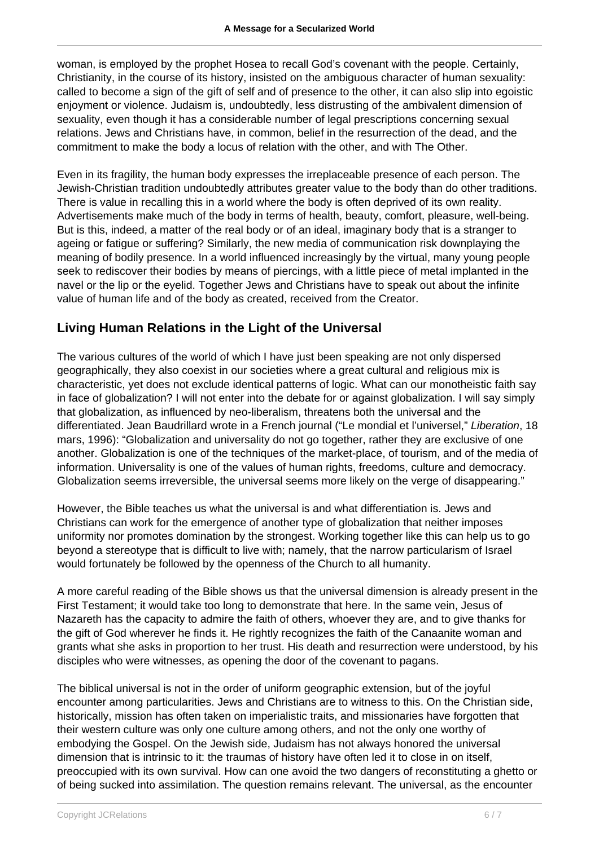woman, is employed by the prophet Hosea to recall God's covenant with the people. Certainly, Christianity, in the course of its history, insisted on the ambiguous character of human sexuality: called to become a sign of the gift of self and of presence to the other, it can also slip into egoistic enjoyment or violence. Judaism is, undoubtedly, less distrusting of the ambivalent dimension of sexuality, even though it has a considerable number of legal prescriptions concerning sexual relations. Jews and Christians have, in common, belief in the resurrection of the dead, and the commitment to make the body a locus of relation with the other, and with The Other.

Even in its fragility, the human body expresses the irreplaceable presence of each person. The Jewish-Christian tradition undoubtedly attributes greater value to the body than do other traditions. There is value in recalling this in a world where the body is often deprived of its own reality. Advertisements make much of the body in terms of health, beauty, comfort, pleasure, well-being. But is this, indeed, a matter of the real body or of an ideal, imaginary body that is a stranger to ageing or fatigue or suffering? Similarly, the new media of communication risk downplaying the meaning of bodily presence. In a world influenced increasingly by the virtual, many young people seek to rediscover their bodies by means of piercings, with a little piece of metal implanted in the navel or the lip or the eyelid. Together Jews and Christians have to speak out about the infinite value of human life and of the body as created, received from the Creator.

#### **Living Human Relations in the Light of the Universal**

The various cultures of the world of which I have just been speaking are not only dispersed geographically, they also coexist in our societies where a great cultural and religious mix is characteristic, yet does not exclude identical patterns of logic. What can our monotheistic faith say in face of globalization? I will not enter into the debate for or against globalization. I will say simply that globalization, as influenced by neo-liberalism, threatens both the universal and the differentiated. Jean Baudrillard wrote in a French journal ("Le mondial et l'universel," Liberation, 18 mars, 1996): "Globalization and universality do not go together, rather they are exclusive of one another. Globalization is one of the techniques of the market-place, of tourism, and of the media of information. Universality is one of the values of human rights, freedoms, culture and democracy. Globalization seems irreversible, the universal seems more likely on the verge of disappearing."

However, the Bible teaches us what the universal is and what differentiation is. Jews and Christians can work for the emergence of another type of globalization that neither imposes uniformity nor promotes domination by the strongest. Working together like this can help us to go beyond a stereotype that is difficult to live with; namely, that the narrow particularism of Israel would fortunately be followed by the openness of the Church to all humanity.

A more careful reading of the Bible shows us that the universal dimension is already present in the First Testament; it would take too long to demonstrate that here. In the same vein, Jesus of Nazareth has the capacity to admire the faith of others, whoever they are, and to give thanks for the gift of God wherever he finds it. He rightly recognizes the faith of the Canaanite woman and grants what she asks in proportion to her trust. His death and resurrection were understood, by his disciples who were witnesses, as opening the door of the covenant to pagans.

The biblical universal is not in the order of uniform geographic extension, but of the joyful encounter among particularities. Jews and Christians are to witness to this. On the Christian side, historically, mission has often taken on imperialistic traits, and missionaries have forgotten that their western culture was only one culture among others, and not the only one worthy of embodying the Gospel. On the Jewish side, Judaism has not always honored the universal dimension that is intrinsic to it: the traumas of history have often led it to close in on itself, preoccupied with its own survival. How can one avoid the two dangers of reconstituting a ghetto or of being sucked into assimilation. The question remains relevant. The universal, as the encounter